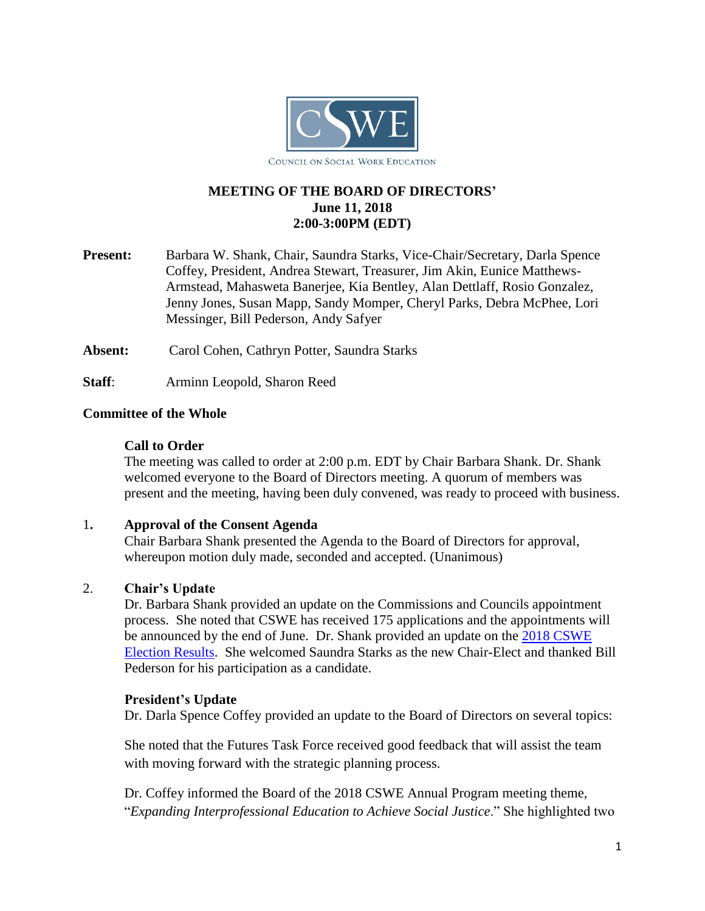

# **MEETING OF THE BOARD OF DIRECTORS' June 11, 2018 2:00-3:00PM (EDT)**

**Present:** Barbara W. Shank, Chair, Saundra Starks, Vice-Chair/Secretary, Darla Spence Coffey, President, Andrea Stewart, Treasurer, Jim Akin, Eunice Matthews-Armstead, Mahasweta Banerjee, Kia Bentley, Alan Dettlaff, Rosio Gonzalez, Jenny Jones, Susan Mapp, Sandy Momper, Cheryl Parks, Debra McPhee, Lori Messinger, Bill Pederson, Andy Safyer

**Absent:** Carol Cohen, Cathryn Potter, Saundra Starks

**Staff**: Arminn Leopold, Sharon Reed

## **Committee of the Whole**

### **Call to Order**

The meeting was called to order at 2:00 p.m. EDT by Chair Barbara Shank. Dr. Shank welcomed everyone to the Board of Directors meeting. A quorum of members was present and the meeting, having been duly convened, was ready to proceed with business.

### 1**. Approval of the Consent Agenda**

Chair Barbara Shank presented the Agenda to the Board of Directors for approval, whereupon motion duly made, seconded and accepted. (Unanimous)

## 2. **Chair's Update**

Dr. Barbara Shank provided an update on the Commissions and Councils appointment process. She noted that CSWE has received 175 applications and the appointments will be announced by the end of June. Dr. Shank provided an update on the [2018 CSWE](https://www.cswe.org/About-CSWE/Governance/Elections/2018-CSWE-Election-Results)  [Election Results.](https://www.cswe.org/About-CSWE/Governance/Elections/2018-CSWE-Election-Results) She welcomed Saundra Starks as the new Chair-Elect and thanked Bill Pederson for his participation as a candidate.

### **President's Update**

Dr. Darla Spence Coffey provided an update to the Board of Directors on several topics:

She noted that the Futures Task Force received good feedback that will assist the team with moving forward with the strategic planning process.

Dr. Coffey informed the Board of the 2018 CSWE Annual Program meeting theme, "*Expanding Interprofessional Education to Achieve Social Justice*." She highlighted two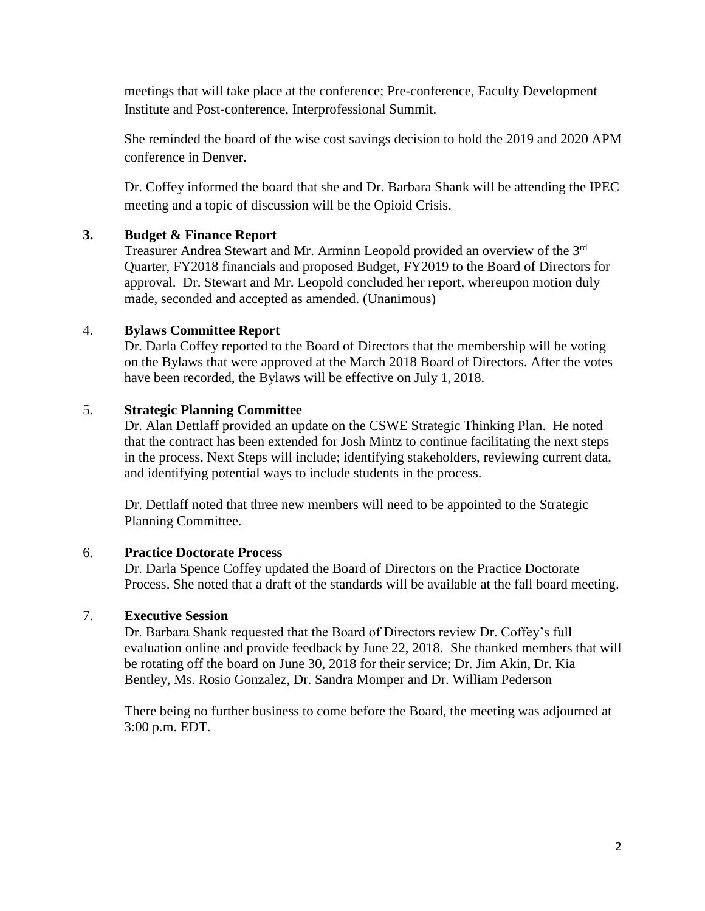meetings that will take place at the conference; Pre-conference, Faculty Development Institute and Post-conference, Interprofessional Summit.

She reminded the board of the wise cost savings decision to hold the 2019 and 2020 APM conference in Denver.

Dr. Coffey informed the board that she and Dr. Barbara Shank will be attending the IPEC meeting and a topic of discussion will be the Opioid Crisis.

## **3. Budget & Finance Report**

Treasurer Andrea Stewart and Mr. Arminn Leopold provided an overview of the 3<sup>rd</sup> Quarter, FY2018 financials and proposed Budget, FY2019 to the Board of Directors for approval. Dr. Stewart and Mr. Leopold concluded her report, whereupon motion duly made, seconded and accepted as amended. (Unanimous)

## 4. **Bylaws Committee Report**

Dr. Darla Coffey reported to the Board of Directors that the membership will be voting on the Bylaws that were approved at the March 2018 Board of Directors. After the votes have been recorded, the Bylaws will be effective on July 1, 2018.

## 5. **Strategic Planning Committee**

Dr. Alan Dettlaff provided an update on the CSWE Strategic Thinking Plan. He noted that the contract has been extended for Josh Mintz to continue facilitating the next steps in the process. Next Steps will include; identifying stakeholders, reviewing current data, and identifying potential ways to include students in the process.

Dr. Dettlaff noted that three new members will need to be appointed to the Strategic Planning Committee.

### 6. **Practice Doctorate Process**

Dr. Darla Spence Coffey updated the Board of Directors on the Practice Doctorate Process. She noted that a draft of the standards will be available at the fall board meeting.

### 7. **Executive Session**

Dr. Barbara Shank requested that the Board of Directors review Dr. Coffey's full evaluation online and provide feedback by June 22, 2018. She thanked members that will be rotating off the board on June 30, 2018 for their service; Dr. Jim Akin, Dr. Kia Bentley, Ms. Rosio Gonzalez, Dr. Sandra Momper and Dr. William Pederson

There being no further business to come before the Board, the meeting was adjourned at 3:00 p.m. EDT.